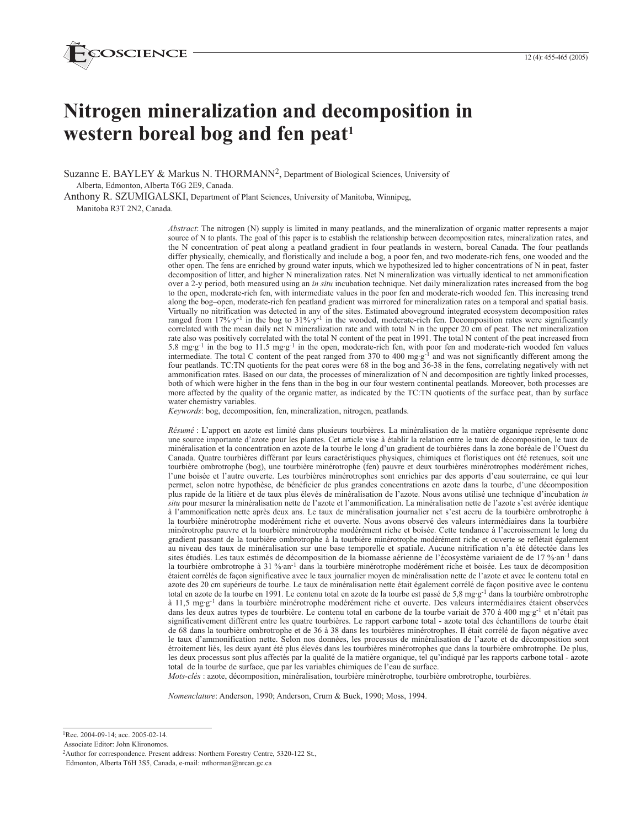

# **Nitrogen mineralization and decomposition in**  western boreal bog and fen peat<sup>1</sup>

Suzanne E. BAYLEY & Markus N. THORMANN<sup>2</sup>, Department of Biological Sciences, University of Alberta, Edmonton, Alberta T6G 2E9, Canada.

Anthony R. SZUMIGALSKI, Department of Plant Sciences, University of Manitoba, Winnipeg, Manitoba R3T 2N2, Canada.

> *Abstract*: The nitrogen (N) supply is limited in many peatlands, and the mineralization of organic matter represents a major source of N to plants. The goal of this paper is to establish the relationship between decomposition rates, mineralization rates, and the N concentration of peat along a peatland gradient in four peatlands in western, boreal Canada. The four peatlands differ physically, chemically, and floristically and include a bog, a poor fen, and two moderate-rich fens, one wooded and the other open. The fens are enriched by ground water inputs, which we hypothesized led to higher concentrations of N in peat, faster decomposition of litter, and higher N mineralization rates. Net N mineralization was virtually identical to net ammonification over a 2-y period, both measured using an *in situ* incubation technique. Net daily mineralization rates increased from the bog to the open, moderate-rich fen, with intermediate values in the poor fen and moderate-rich wooded fen. This increasing trend along the bog–open, moderate-rich fen peatland gradient was mirrored for mineralization rates on a temporal and spatial basis. Virtually no nitrification was detected in any of the sites. Estimated aboveground integrated ecosystem decomposition rates ranged from  $17\%$  y<sup>-1</sup> in the bog to  $31\%$  y<sup>-1</sup> in the wooded, moderate-rich fen. Decomposition rates were significantly correlated with the mean daily net N mineralization rate and with total N in the upper 20 cm of peat. The net mineralization rate also was positively correlated with the total N content of the peat in 1991. The total N content of the peat increased from 5.8 mg·g<sup>-1</sup> in the bog to 11.5 mg·g<sup>-1</sup> in the open, moderate-rich fen, with poor fen and moderate-rich wooded fen values intermediate. The total C content of the peat ranged from 370 to 400 mg·g<sup>-1</sup> and was not significantly different among the four peatlands. TC:TN quotients for the peat cores were 68 in the bog and 36-38 in the fens, correlating negatively with net ammonification rates. Based on our data, the processes of mineralization of N and decomposition are tightly linked processes, both of which were higher in the fens than in the bog in our four western continental peatlands. Moreover, both processes are more affected by the quality of the organic matter, as indicated by the TC:TN quotients of the surface peat, than by surface water chemistry variables.

*Keywords*: bog, decomposition, fen, mineralization, nitrogen, peatlands.

*Résumé* : L'apport en azote est limité dans plusieurs tourbières. La minéralisation de la matière organique représente donc une source importante d'azote pour les plantes. Cet article vise à établir la relation entre le taux de décomposition, le taux de minéralisation et la concentration en azote de la tourbe le long d'un gradient de tourbières dans la zone boréale de l'Ouest du Canada. Quatre tourbières différant par leurs caractéristiques physiques, chimiques et floristiques ont été retenues, soit une tourbière ombrotrophe (bog), une tourbière minérotrophe (fen) pauvre et deux tourbières minérotrophes modérément riches, l'une boisée et l'autre ouverte. Les tourbières minérotrophes sont enrichies par des apports d'eau souterraine, ce qui leur permet, selon notre hypothèse, de bénéficier de plus grandes concentrations en azote dans la tourbe, d'une décomposition plus rapide de la litière et de taux plus élevés de minéralisation de l'azote. Nous avons utilisé une technique d'incubation *in situ* pour mesurer la minéralisation nette de l'azote et l'ammonification. La minéralisation nette de l'azote s'est avérée identique à l'ammonification nette après deux ans. Le taux de minéralisation journalier net s'est accru de la tourbière ombrotrophe à la tourbière minérotrophe modérément riche et ouverte. Nous avons observé des valeurs intermédiaires dans la tourbière minérotrophe pauvre et la tourbière minérotrophe modérément riche et boisée. Cette tendance à l'accroissement le long du gradient passant de la tourbière ombrotrophe à la tourbière minérotrophe modérément riche et ouverte se reflétait également au niveau des taux de minéralisation sur une base temporelle et spatiale. Aucune nitrification n'a été détectée dans les sites étudiés. Les taux estimés de décomposition de la biomasse aérienne de l'écosystème variaient de de 17 %·an-1 dans la tourbière ombrotrophe à 31 % an<sup>-1</sup> dans la tourbière minérotrophe modérément riche et boisée. Les taux de décomposition étaient corrélés de façon significative avec le taux journalier moyen de minéralisation nette de l'azote et avec le contenu total en azote des 20 cm supérieurs de tourbe. Le taux de minéralisation nette était également corrélé de façon positive avec le contenu total en azote de la tourbe en 1991. Le contenu total en azote de la tourbe est passé de 5,8 mg·g<sup>-1</sup> dans la tourbière ombrotrophe à 11,5 mg·g<sup>-1</sup> dans la tourbière minérotrophe modérément riche et ouverte. Des valeurs intermédiaires étaient observées dans les deux autres types de tourbière. Le contenu total en carbone de la tourbe variait de 370 à 400 mg·g-1 et n'était pas significativement différent entre les quatre tourbières. Le rapport carbone total - azote total des échantillons de tourbe était de 68 dans la tourbière ombrotrophe et de 36 à 38 dans les tourbières minérotrophes. Il était corrélé de façon négative avec le taux d'ammonification nette. Selon nos données, les processus de minéralisation de l'azote et de décomposition sont étroitement liés, les deux ayant été plus élevés dans les tourbières minérotrophes que dans la tourbière ombrotrophe. De plus, les deux processus sont plus affectés par la qualité de la matière organique, tel qu'indiqué par les rapports carbone total - azote total de la tourbe de surface, que par les variables chimiques de l'eau de surface.

*Mots-clés* : azote, décomposition, minéralisation, tourbière minérotrophe, tourbière ombrotrophe, tourbières.

*Nomenclature*: Anderson, 1990; Anderson, Crum & Buck, 1990; Moss, 1994.

Associate Editor: John Klironomos.

<sup>1</sup>Rec. 2004-09-14; acc. 2005-02-14.

<sup>2</sup>Author for correspondence. Present address: Northern Forestry Centre, 5320-122 St.,

Edmonton, Alberta T6H 3S5, Canada, e-mail: mthorman@nrcan.gc.ca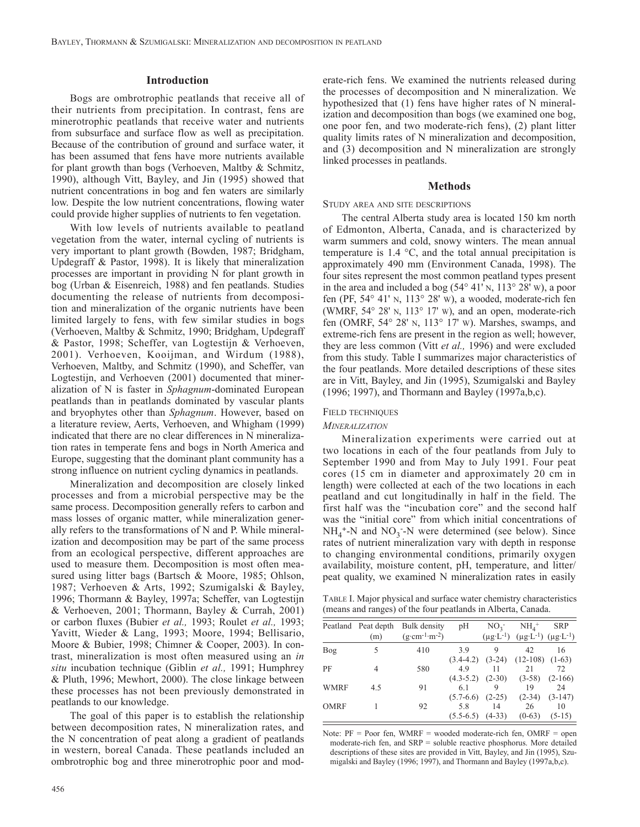## **Introduction**

Bogs are ombrotrophic peatlands that receive all of their nutrients from precipitation. In contrast, fens are minerotrophic peatlands that receive water and nutrients from subsurface and surface flow as well as precipitation. Because of the contribution of ground and surface water, it has been assumed that fens have more nutrients available for plant growth than bogs (Verhoeven, Maltby & Schmitz, 1990), although Vitt, Bayley, and Jin (1995) showed that nutrient concentrations in bog and fen waters are similarly low. Despite the low nutrient concentrations, flowing water could provide higher supplies of nutrients to fen vegetation.

With low levels of nutrients available to peatland vegetation from the water, internal cycling of nutrients is very important to plant growth (Bowden, 1987; Bridgham, Updegraff & Pastor, 1998). It is likely that mineralization processes are important in providing N for plant growth in bog (Urban & Eisenreich, 1988) and fen peatlands. Studies documenting the release of nutrients from decomposition and mineralization of the organic nutrients have been limited largely to fens, with few similar studies in bogs (Verhoeven, Maltby & Schmitz, 1990; Bridgham, Updegraff & Pastor, 1998; Scheffer, van Logtestijn & Verhoeven, 2001). Verhoeven, Kooijman, and Wirdum (1988), Verhoeven, Maltby, and Schmitz (1990), and Scheffer, van Logtestijn, and Verhoeven (2001) documented that mineralization of N is faster in *Sphagnum*-dominated European peatlands than in peatlands dominated by vascular plants and bryophytes other than *Sphagnum*. However, based on a literature review, Aerts, Verhoeven, and Whigham (1999) indicated that there are no clear differences in N mineralization rates in temperate fens and bogs in North America and Europe, suggesting that the dominant plant community has a strong influence on nutrient cycling dynamics in peatlands.

Mineralization and decomposition are closely linked processes and from a microbial perspective may be the same process. Decomposition generally refers to carbon and mass losses of organic matter, while mineralization generally refers to the transformations of N and P. While mineralization and decomposition may be part of the same process from an ecological perspective, different approaches are used to measure them. Decomposition is most often measured using litter bags (Bartsch & Moore, 1985; Ohlson, 1987; Verhoeven & Arts, 1992; Szumigalski & Bayley, 1996; Thormann & Bayley, 1997a; Scheffer, van Logtestijn & Verhoeven, 2001; Thormann, Bayley & Currah, 2001) or carbon fluxes (Bubier *et al.,* 1993; Roulet *et al.,* 1993; Yavitt, Wieder & Lang, 1993; Moore, 1994; Bellisario, Moore & Bubier, 1998; Chimner & Cooper, 2003). In contrast, mineralization is most often measured using an *in situ* incubation technique (Giblin *et al.,* 1991; Humphrey & Pluth, 1996; Mewhort, 2000). The close linkage between these processes has not been previously demonstrated in peatlands to our knowledge.

The goal of this paper is to establish the relationship between decomposition rates, N mineralization rates, and the N concentration of peat along a gradient of peatlands in western, boreal Canada. These peatlands included an ombrotrophic bog and three minerotrophic poor and moderate-rich fens. We examined the nutrients released during the processes of decomposition and N mineralization. We hypothesized that (1) fens have higher rates of N mineralization and decomposition than bogs (we examined one bog, one poor fen, and two moderate-rich fens), (2) plant litter quality limits rates of N mineralization and decomposition, and (3) decomposition and N mineralization are strongly linked processes in peatlands.

## **Methods**

#### Study area and site descriptions

The central Alberta study area is located 150 km north of Edmonton, Alberta, Canada, and is characterized by warm summers and cold, snowy winters. The mean annual temperature is 1.4 °C, and the total annual precipitation is approximately 490 mm (Environment Canada, 1998). The four sites represent the most common peatland types present in the area and included a bog (54° 41' n, 113° 28' w), a poor fen (PF, 54° 41' n, 113° 28' w), a wooded, moderate-rich fen (WMRF, 54° 28' n, 113° 17' w), and an open, moderate-rich fen (OMRF, 54° 28' n, 113° 17' w). Marshes, swamps, and extreme-rich fens are present in the region as well; however, they are less common (Vitt *et al.,* 1996) and were excluded from this study. Table I summarizes major characteristics of the four peatlands. More detailed descriptions of these sites are in Vitt, Bayley, and Jin (1995), Szumigalski and Bayley (1996; 1997), and Thormann and Bayley (1997a,b,c).

## Field techniques

## *Mineralization*

Mineralization experiments were carried out at two locations in each of the four peatlands from July to September 1990 and from May to July 1991. Four peat cores (15 cm in diameter and approximately 20 cm in length) were collected at each of the two locations in each peatland and cut longitudinally in half in the field. The first half was the "incubation core" and the second half was the "initial core" from which initial concentrations of  $NH_4^+$ -N and  $NO_3^-$ -N were determined (see below). Since rates of nutrient mineralization vary with depth in response to changing environmental conditions, primarily oxygen availability, moisture content, pH, temperature, and litter/ peat quality, we examined N mineralization rates in easily

Table I. Major physical and surface water chemistry characteristics (means and ranges) of the four peatlands in Alberta, Canada.

|             | Peatland Peat depth | Bulk density                     | pH                   | NO <sub>3</sub> | $NH4$ <sup>+</sup>                                                   | <b>SRP</b> |
|-------------|---------------------|----------------------------------|----------------------|-----------------|----------------------------------------------------------------------|------------|
|             | (m)                 | $(g \cdot cm^{-1} \cdot m^{-2})$ |                      |                 | $(\mu g \cdot L^{-1})$ $(\mu g \cdot L^{-1})$ $(\mu g \cdot L^{-1})$ |            |
| Bog         | 5                   | 410                              | 39                   | 9               | 42 <sub>1</sub>                                                      | 16         |
|             |                     |                                  | $(3.4-4.2)$ $(3-24)$ |                 | $(12-108)$ $(1-63)$                                                  |            |
| PF          | 4                   | 580                              | 49                   | 11              | 21                                                                   | 72         |
|             |                     |                                  | $(4.3-5.2)$ $(2-30)$ |                 | $(3-58)$                                                             | $(2-166)$  |
| <b>WMRF</b> | 4.5                 | 91                               | 61                   | 9               | 19                                                                   | 24         |
|             |                     |                                  | $(5.7-6.6)$          | $(2-25)$        | $(2-34)$                                                             | $(3-147)$  |
| <b>OMRF</b> |                     | 92                               | 5.8                  | 14              | 26                                                                   | 10         |
|             |                     |                                  | $(5.5-6.5)$          | $(4-33)$        | $(0-63)$                                                             | $(5-15)$   |

Note: PF = Poor fen, WMRF = wooded moderate-rich fen, OMRF = open moderate-rich fen, and SRP = soluble reactive phosphorus. More detailed descriptions of these sites are provided in Vitt, Bayley, and Jin (1995), Szumigalski and Bayley (1996; 1997), and Thormann and Bayley (1997a,b,c).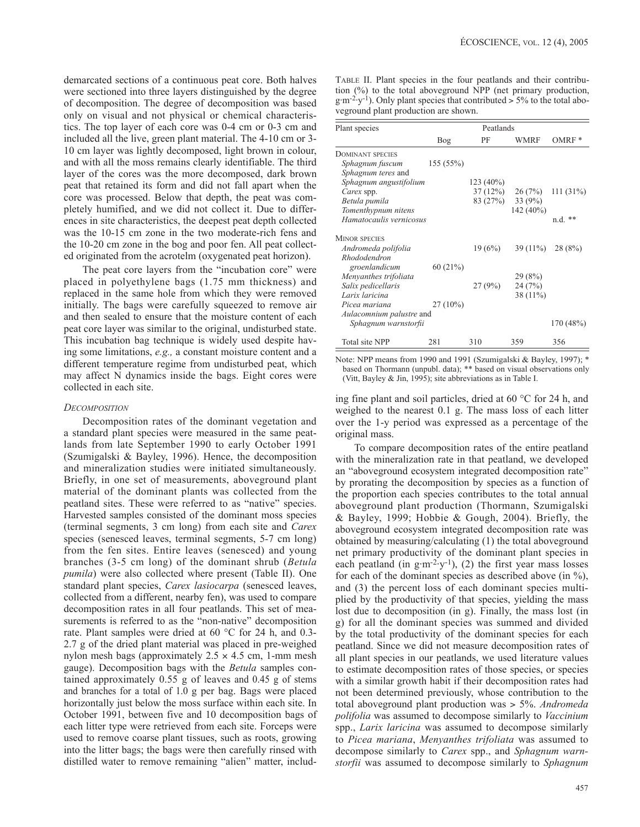demarcated sections of a continuous peat core. Both halves were sectioned into three layers distinguished by the degree of decomposition. The degree of decomposition was based only on visual and not physical or chemical characteristics. The top layer of each core was 0-4 cm or 0-3 cm and included all the live, green plant material. The 4-10 cm or 3- 10 cm layer was lightly decomposed, light brown in colour, and with all the moss remains clearly identifiable. The third layer of the cores was the more decomposed, dark brown peat that retained its form and did not fall apart when the core was processed. Below that depth, the peat was completely humified, and we did not collect it. Due to differences in site characteristics, the deepest peat depth collected was the 10-15 cm zone in the two moderate-rich fens and the 10-20 cm zone in the bog and poor fen. All peat collected originated from the acrotelm (oxygenated peat horizon).

The peat core layers from the "incubation core" were placed in polyethylene bags (1.75 mm thickness) and replaced in the same hole from which they were removed initially. The bags were carefully squeezed to remove air and then sealed to ensure that the moisture content of each peat core layer was similar to the original, undisturbed state. This incubation bag technique is widely used despite having some limitations, *e.g.,* a constant moisture content and a different temperature regime from undisturbed peat, which may affect N dynamics inside the bags. Eight cores were collected in each site.

## *Decomposition*

Decomposition rates of the dominant vegetation and a standard plant species were measured in the same peatlands from late September 1990 to early October 1991 (Szumigalski & Bayley, 1996). Hence, the decomposition and mineralization studies were initiated simultaneously. Briefly, in one set of measurements, aboveground plant material of the dominant plants was collected from the peatland sites. These were referred to as "native" species. Harvested samples consisted of the dominant moss species (terminal segments, 3 cm long) from each site and *Carex* species (senesced leaves, terminal segments, 5-7 cm long) from the fen sites. Entire leaves (senesced) and young branches (3-5 cm long) of the dominant shrub (*Betula pumila*) were also collected where present (Table II). One standard plant species, *Carex lasiocarpa* (senesced leaves, collected from a different, nearby fen), was used to compare decomposition rates in all four peatlands. This set of measurements is referred to as the "non-native" decomposition rate. Plant samples were dried at 60 °C for 24 h, and 0.3- 2.7 g of the dried plant material was placed in pre-weighed nylon mesh bags (approximately  $2.5 \times 4.5$  cm, 1-mm mesh gauge). Decomposition bags with the *Betula* samples contained approximately 0.55 g of leaves and 0.45 g of stems and branches for a total of 1.0 g per bag. Bags were placed horizontally just below the moss surface within each site. In October 1991, between five and 10 decomposition bags of each litter type were retrieved from each site. Forceps were used to remove coarse plant tissues, such as roots, growing into the litter bags; the bags were then carefully rinsed with distilled water to remove remaining "alien" matter, includ-

| TABLE II. Plant species in the four peatlands and their contribu-                           |
|---------------------------------------------------------------------------------------------|
| tion $(\%)$ to the total aboveground NPP (net primary production,                           |
| $g \cdot m^{-2} \cdot y^{-1}$ ). Only plant species that contributed > 5% to the total abo- |
| veground plant production are shown.                                                        |

| Plant species                   | Peatlands  |           |             |                   |  |
|---------------------------------|------------|-----------|-------------|-------------------|--|
|                                 | Bog        | PF        | <b>WMRF</b> | OMRF <sup>*</sup> |  |
| <b>DOMINANT SPECIES</b>         |            |           |             |                   |  |
| Sphagnum fuscum                 | 155 (55%)  |           |             |                   |  |
| Sphagnum teres and              |            |           |             |                   |  |
| Sphagnum angustifolium          |            | 123 (40%) |             |                   |  |
| Carex spp.                      |            | 37 (12%)  | 26(7%)      | 111(31%)          |  |
| Betula pumila                   |            | 83 (27%)  | 33 $(9%)$   |                   |  |
| Tomenthypnum nitens             |            |           | 142 (40%)   |                   |  |
| Hamatocaulis vernicosus         |            |           |             | $n.d.$ **         |  |
| <b>MINOR SPECIES</b>            |            |           |             |                   |  |
| Andromeda polifolia             |            | 19(6%)    | $39(11\%)$  | 28(8%)            |  |
| Rhododendron                    |            |           |             |                   |  |
| groenlandicum                   | 60(21%)    |           |             |                   |  |
| Menyanthes trifoliata           |            |           | 29(8%)      |                   |  |
| Salix pedicellaris              |            | 27(9%)    | 24(7%)      |                   |  |
| Larix laricina                  |            |           | 38 (11%)    |                   |  |
| Picea mariana                   | $27(10\%)$ |           |             |                   |  |
| <i>Aulacomnium palustre and</i> |            |           |             |                   |  |
| Sphagnum warnstorfii            |            |           |             | 170 (48%)         |  |
| Total site NPP                  | 281        | 310       | 359         | 356               |  |

Note: NPP means from 1990 and 1991 (Szumigalski & Bayley, 1997); \* based on Thormann (unpubl. data); \*\* based on visual observations only (Vitt, Bayley & Jin, 1995); site abbreviations as in Table I.

ing fine plant and soil particles, dried at 60 °C for 24 h, and weighed to the nearest 0.1 g. The mass loss of each litter over the 1-y period was expressed as a percentage of the original mass.

To compare decomposition rates of the entire peatland with the mineralization rate in that peatland, we developed an "aboveground ecosystem integrated decomposition rate" by prorating the decomposition by species as a function of the proportion each species contributes to the total annual aboveground plant production (Thormann, Szumigalski & Bayley, 1999; Hobbie & Gough, 2004). Briefly, the aboveground ecosystem integrated decomposition rate was obtained by measuring/calculating (1) the total aboveground net primary productivity of the dominant plant species in each peatland (in  $g·m<sup>-2</sup>·y<sup>-1</sup>$ ), (2) the first year mass losses for each of the dominant species as described above (in %), and (3) the percent loss of each dominant species multiplied by the productivity of that species, yielding the mass lost due to decomposition (in g). Finally, the mass lost (in g) for all the dominant species was summed and divided by the total productivity of the dominant species for each peatland. Since we did not measure decomposition rates of all plant species in our peatlands, we used literature values to estimate decomposition rates of those species, or species with a similar growth habit if their decomposition rates had not been determined previously, whose contribution to the total aboveground plant production was > 5%. *Andromeda polifolia* was assumed to decompose similarly to *Vaccinium* spp., *Larix laricina* was assumed to decompose similarly to *Picea mariana*, *Menyanthes trifoliata* was assumed to decompose similarly to *Carex* spp., and *Sphagnum warnstorfii* was assumed to decompose similarly to *Sphagnum*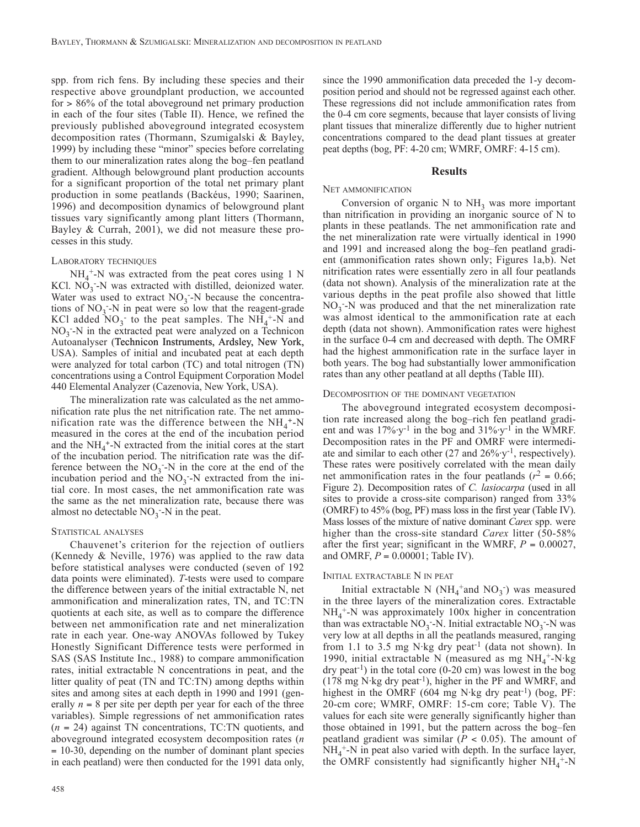spp. from rich fens. By including these species and their respective above groundplant production, we accounted for > 86% of the total aboveground net primary production in each of the four sites (Table II). Hence, we refined the previously published aboveground integrated ecosystem decomposition rates (Thormann, Szumigalski & Bayley, 1999) by including these "minor" species before correlating them to our mineralization rates along the bog–fen peatland gradient. Although belowground plant production accounts for a significant proportion of the total net primary plant production in some peatlands (Backéus, 1990; Saarinen, 1996) and decomposition dynamics of belowground plant tissues vary significantly among plant litters (Thormann, Bayley & Currah, 2001), we did not measure these processes in this study.

#### Laboratory techniques

 $NH_4^+$ -N was extracted from the peat cores using 1 N  $KCl. NO<sub>3</sub> - N was extracted with distilled, deionized water.$ Water was used to extract  $NO<sub>3</sub>$ -N because the concentrations of  $NO_3$ <sup>-</sup>N in peat were so low that the reagent-grade KCl added  $NO_3^-$  to the peat samples. The  $NH_4^+$ -N and  $NO<sub>3</sub>$  N in the extracted peat were analyzed on a Technicon Autoanalyser (Technicon Instruments, Ardsley, New York, USA). Samples of initial and incubated peat at each depth were analyzed for total carbon (TC) and total nitrogen (TN) concentrations using a Control Equipment Corporation Model 440 Elemental Analyzer (Cazenovia, New York, USA).

The mineralization rate was calculated as the net ammonification rate plus the net nitrification rate. The net ammonification rate was the difference between the  $NH_4^+$ -N measured in the cores at the end of the incubation period and the  $NH_4^+$ -N extracted from the initial cores at the start of the incubation period. The nitrification rate was the difference between the  $NO_3$ -N in the core at the end of the incubation period and the  $NO_3$ -N extracted from the initial core. In most cases, the net ammonification rate was the same as the net mineralization rate, because there was almost no detectable  $NO_3^-$ -N in the peat.

#### STATISTICAL ANALYSES

Chauvenet's criterion for the rejection of outliers (Kennedy & Neville, 1976) was applied to the raw data before statistical analyses were conducted (seven of 192 data points were eliminated). *T*-tests were used to compare the difference between years of the initial extractable N, net ammonification and mineralization rates, TN, and TC:TN quotients at each site, as well as to compare the difference between net ammonification rate and net mineralization rate in each year. One-way ANOVAs followed by Tukey Honestly Significant Difference tests were performed in SAS (SAS Institute Inc., 1988) to compare ammonification rates, initial extractable N concentrations in peat, and the litter quality of peat (TN and TC:TN) among depths within sites and among sites at each depth in 1990 and 1991 (generally  $n = 8$  per site per depth per year for each of the three variables). Simple regressions of net ammonification rates (*n* = 24) against TN concentrations, TC:TN quotients, and aboveground integrated ecosystem decomposition rates (*n* = 10-30, depending on the number of dominant plant species in each peatland) were then conducted for the 1991 data only,

458

since the 1990 ammonification data preceded the 1-y decomposition period and should not be regressed against each other. These regressions did not include ammonification rates from the 0-4 cm core segments, because that layer consists of living plant tissues that mineralize differently due to higher nutrient concentrations compared to the dead plant tissues at greater peat depths (bog, PF: 4-20 cm; WMRF, OMRF: 4-15 cm).

## **Results**

## NET AMMONIFICATION

Conversion of organic N to  $NH<sub>3</sub>$  was more important than nitrification in providing an inorganic source of N to plants in these peatlands. The net ammonification rate and the net mineralization rate were virtually identical in 1990 and 1991 and increased along the bog–fen peatland gradient (ammonification rates shown only; Figures 1a,b). Net nitrification rates were essentially zero in all four peatlands (data not shown). Analysis of the mineralization rate at the various depths in the peat profile also showed that little NO<sub>3</sub><sup>-</sup>N was produced and that the net mineralization rate was almost identical to the ammonification rate at each depth (data not shown). Ammonification rates were highest in the surface 0-4 cm and decreased with depth. The OMRF had the highest ammonification rate in the surface layer in both years. The bog had substantially lower ammonification rates than any other peatland at all depths (Table III).

#### Decomposition of the dominant vegetation

The aboveground integrated ecosystem decomposition rate increased along the bog–rich fen peatland gradient and was  $17\% \cdot y^{-1}$  in the bog and  $31\% \cdot y^{-1}$  in the WMRF. Decomposition rates in the PF and OMRF were intermediate and similar to each other (27 and 26%·y-1, respectively). These rates were positively correlated with the mean daily net ammonification rates in the four peatlands ( $r^2 = 0.66$ ; Figure 2). Decomposition rates of *C. lasiocarpa* (used in all sites to provide a cross-site comparison) ranged from 33% (OMRF) to 45% (bog, PF) mass loss in the first year (Table IV). Mass losses of the mixture of native dominant *Carex* spp. were higher than the cross-site standard *Carex* litter (50-58% after the first year; significant in the WMRF,  $P = 0.00027$ , and OMRF, *P* = 0.00001; Table IV).

### Initial extractable N in peat

Initial extractable N  $(NH_4^+$  and  $NO_3^-)$  was measured in the three layers of the mineralization cores. Extractable NH4 +-N was approximately 100x higher in concentration than was extractable  $NO_3$ - $N$ . Initial extractable  $NO_3$ - $N$  was very low at all depths in all the peatlands measured, ranging from 1.1 to 3.5 mg N·kg dry peat<sup>-1</sup> (data not shown). In 1990, initial extractable N (measured as mg  $NH_4^+$ -N·kg  $\text{dry}$  peat<sup>-1</sup>) in the total core (0-20 cm) was lowest in the bog  $(178 \text{ mg N} \cdot \text{kg} \text{ dry heat}^{-1})$ , higher in the PF and WMRF, and highest in the OMRF (604 mg N·kg dry peat<sup>-1</sup>) (bog, PF: 20-cm core; WMRF, OMRF: 15-cm core; Table V). The values for each site were generally significantly higher than those obtained in 1991, but the pattern across the bog–fen peatland gradient was similar  $(P < 0.05)$ . The amount of  $NH_4^+$ -N in peat also varied with depth. In the surface layer, the OMRF consistently had significantly higher  $NH_4^+$ -N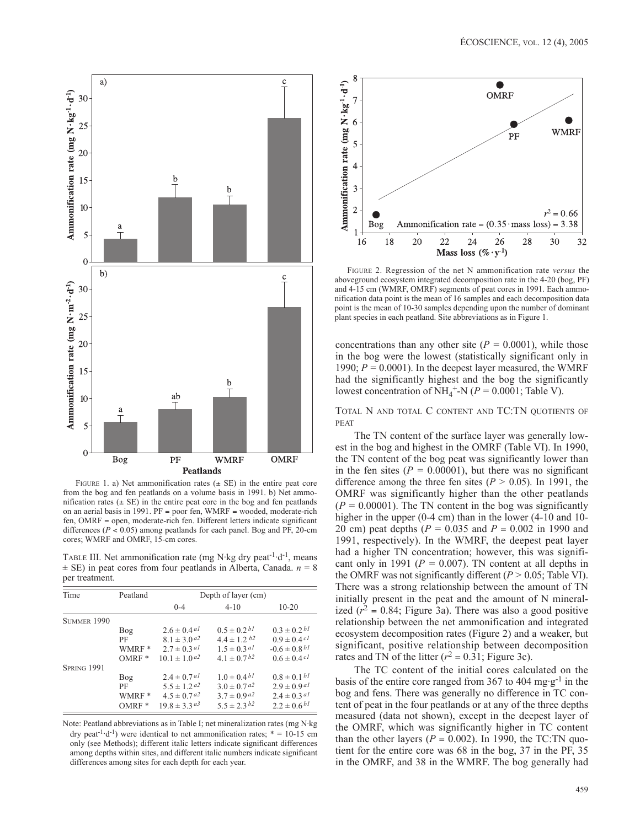

FIGURE 1. a) Net ammonification rates  $(\pm S E)$  in the entire peat core from the bog and fen peatlands on a volume basis in 1991. b) Net ammonification rates  $(\pm \text{ SE})$  in the entire peat core in the bog and fen peatlands on an aerial basis in 1991. PF = poor fen, WMRF = wooded, moderate-rich fen, OMRF = open, moderate-rich fen. Different letters indicate significant differences ( $P < 0.05$ ) among peatlands for each panel. Bog and PF, 20-cm cores; WMRF and OMRF, 15-cm cores.

TABLE III. Net ammonification rate (mg N·kg dry peat<sup>-1</sup>·d<sup>-1</sup>, means  $\pm$  SE) in peat cores from four peatlands in Alberta, Canada. *n* = 8 per treatment.

| Time               | Peatland          | Depth of layer (cm)         |                              |                             |  |
|--------------------|-------------------|-----------------------------|------------------------------|-----------------------------|--|
|                    |                   | $0 - 4$                     | $4 - 10$                     | $10-20$                     |  |
| SUMMER 1990        |                   |                             |                              |                             |  |
|                    | Bog               | $2.6 \pm 0.4$ <sup>al</sup> | $0.5 \pm 0.2^{bI}$           | $0.3 \pm 0.2 h^{1}$         |  |
|                    | PF                | $8.1 \pm 3.0^{2}$           | $4.4 \pm 1.2 h^{2}$          | $0.9 \pm 0.4$ cl            |  |
|                    | WMRF <sup>*</sup> | $2.7 \pm 0.3$ <sup>al</sup> | $1.5 \pm 0.3$ al             | $-0.6 \pm 0.8 h^{1}$        |  |
|                    | $OMRF*$           | $10.1 \pm 1.0^{2}$          | $4.1 \pm 0.7h^{2}$           | $0.6 \pm 0.4$ cl            |  |
| <b>SPRING 1991</b> |                   |                             |                              |                             |  |
|                    | Bog               | $2.4 \pm 0.7$ <sup>al</sup> | $1.0 \pm 0.4^{b}$            | $0.8 \pm 0.1 h^{1}$         |  |
|                    | PF                | $5.5 \pm 1.2^{2}$           | $3.0 \pm 0.7$ <sup>a2</sup>  | $2.9 \pm 0.9$ <sup>al</sup> |  |
|                    | WMRF*             | $4.5 \pm 0.7^{2}$           | $3.7 \pm 0.9$ a <sup>2</sup> | $2.4 \pm 0.3$ <sup>al</sup> |  |
|                    | $OMRF*$           | $19.8 \pm 3.3 a3$           | $5.5 \pm 2.3h^{2}$           | $2.2 \pm 0.6^{b}$           |  |
|                    |                   |                             |                              |                             |  |

Note: Peatland abbreviations as in Table I; net mineralization rates (mg N·kg dry peat<sup>-1</sup>·d<sup>-1</sup>) were identical to net ammonification rates;  $* = 10-15$  cm only (see Methods); different italic letters indicate significant differences among depths within sites, and different italic numbers indicate significant differences among sites for each depth for each year.



Figure 2. Regression of the net N ammonification rate *versus* the aboveground ecosystem integrated decomposition rate in the 4-20 (bog, PF) and 4-15 cm (WMRF, OMRF) segments of peat cores in 1991. Each ammonification data point is the mean of 16 samples and each decomposition data point is the mean of 10-30 samples depending upon the number of dominant plant species in each peatland. Site abbreviations as in Figure 1.

concentrations than any other site  $(P = 0.0001)$ , while those in the bog were the lowest (statistically significant only in 1990;  $P = 0.0001$ ). In the deepest layer measured, the WMRF had the significantly highest and the bog the significantly lowest concentration of  $NH_4^+$ -N ( $P = 0.0001$ ; Table V).

Total N and total C content and TC:TN quotients of **PEAT** 

The TN content of the surface layer was generally lowest in the bog and highest in the OMRF (Table VI). In 1990, the TN content of the bog peat was significantly lower than in the fen sites  $(P = 0.00001)$ , but there was no significant difference among the three fen sites (*P >* 0.05). In 1991, the OMRF was significantly higher than the other peatlands  $(P = 0.00001)$ . The TN content in the bog was significantly higher in the upper (0-4 cm) than in the lower (4-10 and 10-20 cm) peat depths (*P =* 0.035 and *P* = 0.002 in 1990 and 1991, respectively). In the WMRF, the deepest peat layer had a higher TN concentration; however, this was significant only in 1991 ( $P = 0.007$ ). TN content at all depths in the OMRF was not significantly different  $(P > 0.05$ ; Table VI). There was a strong relationship between the amount of TN initially present in the peat and the amount of N mineralized  $(r^2 = 0.84$ ; Figure 3a). There was also a good positive relationship between the net ammonification and integrated ecosystem decomposition rates (Figure 2) and a weaker, but significant, positive relationship between decomposition rates and TN of the litter  $(r^2 = 0.31)$ ; Figure 3c).

The TC content of the initial cores calculated on the basis of the entire core ranged from 367 to 404 mg·g<sup>-1</sup> in the bog and fens. There was generally no difference in TC content of peat in the four peatlands or at any of the three depths measured (data not shown), except in the deepest layer of the OMRF, which was significantly higher in TC content than the other layers ( $P = 0.002$ ). In 1990, the TC:TN quotient for the entire core was 68 in the bog, 37 in the PF, 35 in the OMRF, and 38 in the WMRF. The bog generally had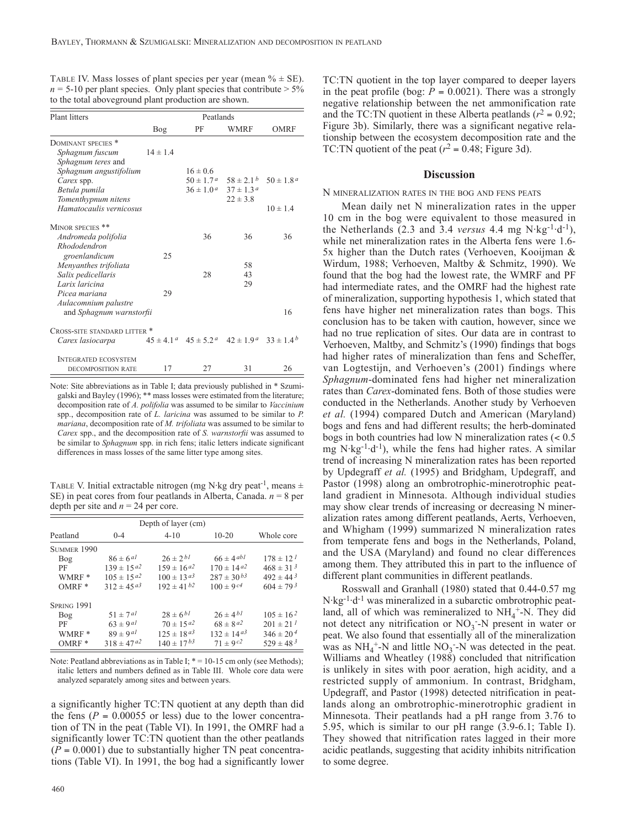TABLE IV. Mass losses of plant species per year (mean  $% \pm$  SE).  $n = 5-10$  per plant species. Only plant species that contribute  $> 5\%$ to the total aboveground plant production are shown.

| <b>Plant litters</b>          | Peatlands    |              |                                                             |                    |  |  |
|-------------------------------|--------------|--------------|-------------------------------------------------------------|--------------------|--|--|
|                               | Bog          | PF           | <b>WMRF</b>                                                 | <b>OMRF</b>        |  |  |
| DOMINANT SPECIES <sup>*</sup> |              |              |                                                             |                    |  |  |
| Sphagnum fuscum               | $14 \pm 1.4$ |              |                                                             |                    |  |  |
| Sphagnum teres and            |              |              |                                                             |                    |  |  |
| Sphagnum angustifolium        |              | $16 \pm 0.6$ |                                                             |                    |  |  |
| Carex spp.                    |              |              | $50 \pm 1.7^{\circ}$ $58 \pm 2.1^{\circ}$                   | $50 \pm 1.8^{\,a}$ |  |  |
| Betula pumila                 |              |              | $36 \pm 1.0^a$ $37 \pm 1.3^a$                               |                    |  |  |
| Tomenthypnum nitens           |              |              | $22 \pm 3.8$                                                |                    |  |  |
| Hamatocaulis vernicosus       |              |              |                                                             | $10 \pm 1.4$       |  |  |
| MINOR SPECIES **              |              |              |                                                             |                    |  |  |
| Andromeda polifolia           |              | 36           | 36                                                          | 36                 |  |  |
| Rhododendron                  |              |              |                                                             |                    |  |  |
| groenlandicum                 | 25           |              |                                                             |                    |  |  |
| Menyanthes trifoliata         |              |              | 58                                                          |                    |  |  |
| Salix pedicellaris            |              | 28           | 43                                                          |                    |  |  |
| Larix laricina                |              |              | 29                                                          |                    |  |  |
| Picea mariana                 | 29           |              |                                                             |                    |  |  |
| Aulacomnium palustre          |              |              |                                                             |                    |  |  |
| and Sphagnum warnstorfii      |              |              |                                                             | 16                 |  |  |
| CROSS-SITE STANDARD LITTER *  |              |              |                                                             |                    |  |  |
| Carex lasiocarpa              |              |              | $45 \pm 4.1^a$ $45 \pm 5.2^a$ $42 \pm 1.9^a$ $33 \pm 1.4^b$ |                    |  |  |
| <b>INTEGRATED ECOSYSTEM</b>   |              |              |                                                             |                    |  |  |
| <b>DECOMPOSITION RATE</b>     | 17           | 27           | 31                                                          | 26                 |  |  |

Note: Site abbreviations as in Table I; data previously published in \* Szumigalski and Bayley (1996); \*\* mass losses were estimated from the literature; decomposition rate of *A. polifolia* was assumed to be similar to *Vaccinium* spp., decomposition rate of *L. laricina* was assumed to be similar to *P. mariana*, decomposition rate of *M. trifoliata* was assumed to be similar to *Carex* spp., and the decomposition rate of *S. warnstorfii* was assumed to be similar to *Sphagnum* spp. in rich fens; italic letters indicate significant differences in mass losses of the same litter type among sites.

TABLE V. Initial extractable nitrogen (mg N·kg dry peat<sup>-1</sup>, means  $\pm$ SE) in peat cores from four peatlands in Alberta, Canada. *n* = 8 per depth per site and  $n = 24$  per core.

| Depth of layer (cm) |                          |                   |                   |                  |  |  |  |
|---------------------|--------------------------|-------------------|-------------------|------------------|--|--|--|
| Peatland            | $0 - 4$                  | $4 - 10$          | $10 - 20$         | Whole core       |  |  |  |
| SUMMER 1990         |                          |                   |                   |                  |  |  |  |
| Bog                 | $86 \pm 6^{al}$          | $26 \pm 2^{bl}$   | $66 \pm 4$ abl    | $178 \pm 12^{1}$ |  |  |  |
| PF                  | $139 \pm 15^{2}$         | $159 \pm 16a^2$   | $170 \pm 14^{2}$  | $468 \pm 31^{3}$ |  |  |  |
| WMRF*               | $105 \pm 15^{a2}$        | $100 \pm 13 a3$   | $287 \pm 30^{b3}$ | $492 \pm 44^{3}$ |  |  |  |
| $OMRF*$             | $312 \pm 45 a^3$         | $192 \pm 41 b^2$  | $100 \pm 9c4$     | $604 \pm 793$    |  |  |  |
| SPRING 1991         |                          |                   |                   |                  |  |  |  |
| Bog                 | $51 \pm 7^{al}$          | $28 \pm 6^{b}$    | $26 \pm 4^{b}$    | $105 \pm 16^{2}$ |  |  |  |
| PF                  | $63 \pm 9$ <sup>al</sup> | $70 \pm 15 a^2$   | $68 \pm 8a^2$     | $201 \pm 21^{1}$ |  |  |  |
| WMRF*               | $89 \pm 9$ al            | $125 \pm 18^{2}$  | $132 \pm 14^{23}$ | $346 \pm 20^{4}$ |  |  |  |
| $OMRF*$             | $318 \pm 47^{2}$         | $140 \pm 17h^{3}$ | $71 \pm 9^{c2}$   | $529 \pm 48^{3}$ |  |  |  |

Note: Peatland abbreviations as in Table I;  $* = 10-15$  cm only (see Methods); italic letters and numbers defined as in Table III. Whole core data were analyzed separately among sites and between years.

a significantly higher TC:TN quotient at any depth than did the fens ( $P = 0.00055$  or less) due to the lower concentration of TN in the peat (Table VI). In 1991, the OMRF had a significantly lower TC:TN quotient than the other peatlands  $(P = 0.0001)$  due to substantially higher TN peat concentrations (Table VI). In 1991, the bog had a significantly lower

TC:TN quotient in the top layer compared to deeper layers in the peat profile (bog:  $P = 0.0021$ ). There was a strongly negative relationship between the net ammonification rate and the TC:TN quotient in these Alberta peatlands  $(r^2 = 0.92)$ ; Figure 3b). Similarly, there was a significant negative relationship between the ecosystem decomposition rate and the TC:TN quotient of the peat  $(r^2 = 0.48;$  Figure 3d).

## **Discussion**

### N mineralization rates in the bog and fens peats

Mean daily net N mineralization rates in the upper 10 cm in the bog were equivalent to those measured in the Netherlands (2.3 and 3.4 *versus* 4.4 mg N·kg-1·d-1), while net mineralization rates in the Alberta fens were 1.6- 5x higher than the Dutch rates (Verhoeven, Kooijman & Wirdum, 1988; Verhoeven, Maltby & Schmitz, 1990). We found that the bog had the lowest rate, the WMRF and PF had intermediate rates, and the OMRF had the highest rate of mineralization, supporting hypothesis 1, which stated that fens have higher net mineralization rates than bogs. This conclusion has to be taken with caution, however, since we had no true replication of sites. Our data are in contrast to Verhoeven, Maltby, and Schmitz's (1990) findings that bogs had higher rates of mineralization than fens and Scheffer, van Logtestijn, and Verhoeven's (2001) findings where *Sphagnum*-dominated fens had higher net mineralization rates than *Carex*-dominated fens. Both of those studies were conducted in the Netherlands. Another study by Verhoeven *et al.* (1994) compared Dutch and American (Maryland) bogs and fens and had different results; the herb-dominated bogs in both countries had low N mineralization rates (< 0.5 mg  $N \cdot kg^{-1} \cdot d^{-1}$ ), while the fens had higher rates. A similar trend of increasing N mineralization rates has been reported by Updegraff *et al.* (1995) and Bridgham, Updegraff, and Pastor (1998) along an ombrotrophic-minerotrophic peatland gradient in Minnesota. Although individual studies may show clear trends of increasing or decreasing N mineralization rates among different peatlands, Aerts, Verhoeven, and Whigham (1999) summarized N mineralization rates from temperate fens and bogs in the Netherlands, Poland, and the USA (Maryland) and found no clear differences among them. They attributed this in part to the influence of different plant communities in different peatlands.

Rosswall and Granhall (1980) stated that 0.44-0.57 mg N·kg-1·d-1 was mineralized in a subarctic ombrotrophic peatland, all of which was remineralized to  $NH_4^+$ -N. They did not detect any nitrification or  $NO<sub>3</sub>$ -N present in water or peat. We also found that essentially all of the mineralization was as  $NH_4^+$ -N and little  $NO_3^-$ -N was detected in the peat. Williams and Wheatley (1988) concluded that nitrification is unlikely in sites with poor aeration, high acidity, and a restricted supply of ammonium. In contrast, Bridgham, Updegraff, and Pastor (1998) detected nitrification in peatlands along an ombrotrophic-minerotrophic gradient in Minnesota. Their peatlands had a pH range from 3.76 to 5.95, which is similar to our pH range (3.9-6.1; Table I). They showed that nitrification rates lagged in their more acidic peatlands, suggesting that acidity inhibits nitrification to some degree.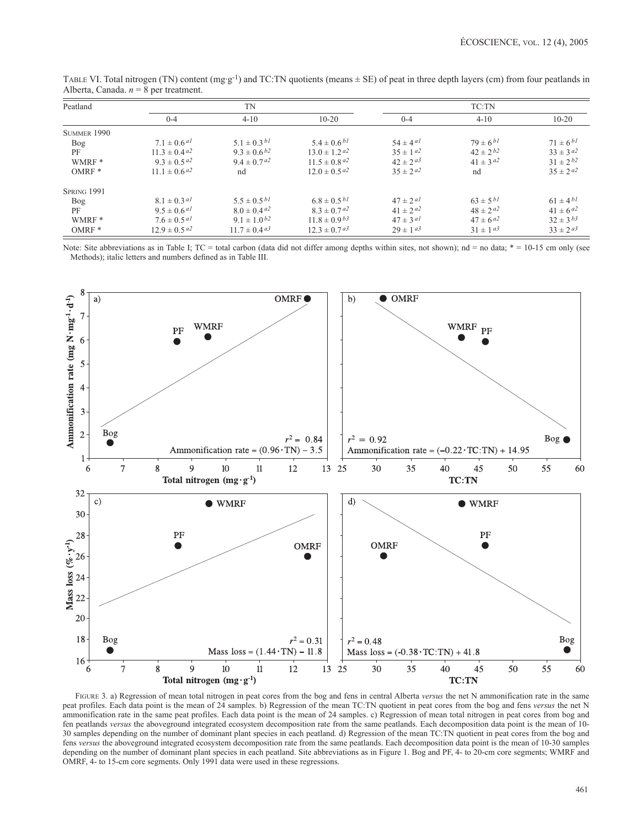| Peatland           | TN                          |                               |                               | TC:TN                    |                 |                             |
|--------------------|-----------------------------|-------------------------------|-------------------------------|--------------------------|-----------------|-----------------------------|
|                    | $0 - 4$                     | $4 - 10$                      | $10 - 20$                     | $0 - 4$                  | $4 - 10$        | $10 - 20$                   |
| SUMMER 1990        |                             |                               |                               |                          |                 |                             |
| Bog                | $7.1 \pm 0.6$ <sup>al</sup> | $5.1 \pm 0.3^{bI}$            | $5.4 \pm 0.6^{b}$             | $54 \pm 4$ <sup>al</sup> | $79 \pm 6^{b}$  | $71 \pm 6^{b}$              |
| PF                 | $11.3 \pm 0.4^{2}$          | $9.3 \pm 0.6^{b2}$            | 13 0 $\pm$ 1 2 <sup>a2</sup>  | $35 \pm 1^{2}$           | $42 \pm 2^{b2}$ | 33 ± 3 <sup><i>a2</i></sup> |
| $WMRF*$            | $9.3 \pm 0.5a2$             | $9.4 \pm 0.7$ $a2$            | 11.5 $\pm$ 0.8 $a2$           | $42 \pm 2a^3$            | $41 \pm 3a2$    | $31 \pm 2^{b2}$             |
| $OMRF*$            | $11.1 \pm 0.6^{2}$          | nd                            | $12.0 \pm 0.5$ <sup>a2</sup>  | $35 \pm 2^{2}$           | nd              | $35 \pm 2a2$                |
| <b>SPRING 1991</b> |                             |                               |                               |                          |                 |                             |
| Bog                | $81 \pm 0.3$ <sup>al</sup>  | $5.5 \pm 0.5^{bI}$            | $6.8 \pm 0.5^{b}$             | $47 \pm 2$ al            | $63 \pm 5^{b}$  | $61 \pm 4^{b}$              |
| PF                 | $9.5 \pm 0.6$ <sup>al</sup> | $8.0 \pm 0.4$ $a2$            | $8.3 \pm 0.7$ a <sup>2</sup>  | $41 \pm 2a^2$            | $48 \pm 2a^{2}$ | $41 \pm 6^{2}$              |
| WMRF*              | $7.6 \pm 0.5$ <sup>al</sup> | $9.1 \pm 1.0^{b2}$            | 11 $8 \pm 0.9$ b <sup>3</sup> | $47 \pm 3$ al            | $47 \pm 6^{2}$  | $32 \pm 3^{b3}$             |
| $OMRF*$            | $12.9 \pm 0.5^{2}$          | $11.7 \pm 0.4$ a <sup>3</sup> | $12.3 \pm 0.7$ $a3$           | $29 \pm 1 a^{3}$         | $31 \pm 1^{a3}$ | $33 \pm 2^{a3}$             |

TABLE VI. Total nitrogen (TN) content (mg·g<sup>-1</sup>) and TC:TN quotients (means  $\pm$  SE) of peat in three depth layers (cm) from four peatlands in Alberta, Canada.  $n = 8$  per treatment.

Note: Site abbreviations as in Table I; TC = total carbon (data did not differ among depths within sites, not shown);  $nd = no data$ ;  $* = 10-15$  cm only (see Methods); italic letters and numbers defined as in Table III.



Figure 3. a) Regression of mean total nitrogen in peat cores from the bog and fens in central Alberta *versus* the net N ammonification rate in the same peat profiles. Each data point is the mean of 24 samples. b) Regression of the mean TC:TN quotient in peat cores from the bog and fens *versus* the net N ammonification rate in the same peat profiles. Each data point is the mean of 24 samples. c) Regression of mean total nitrogen in peat cores from bog and fen peatlands *versus* the aboveground integrated ecosystem decomposition rate from the same peatlands. Each decomposition data point is the mean of 10- 30 samples depending on the number of dominant plant species in each peatland. d) Regression of the mean TC:TN quotient in peat cores from the bog and fens *versus* the aboveground integrated ecosystem decomposition rate from the same peatlands. Each decomposition data point is the mean of 10-30 samples depending on the number of dominant plant species in each peatland. Site abbreviations as in Figure 1. Bog and PF, 4- to 20-cm core segments; WMRF and OMRF, 4- to 15-cm core segments. Only 1991 data were used in these regressions.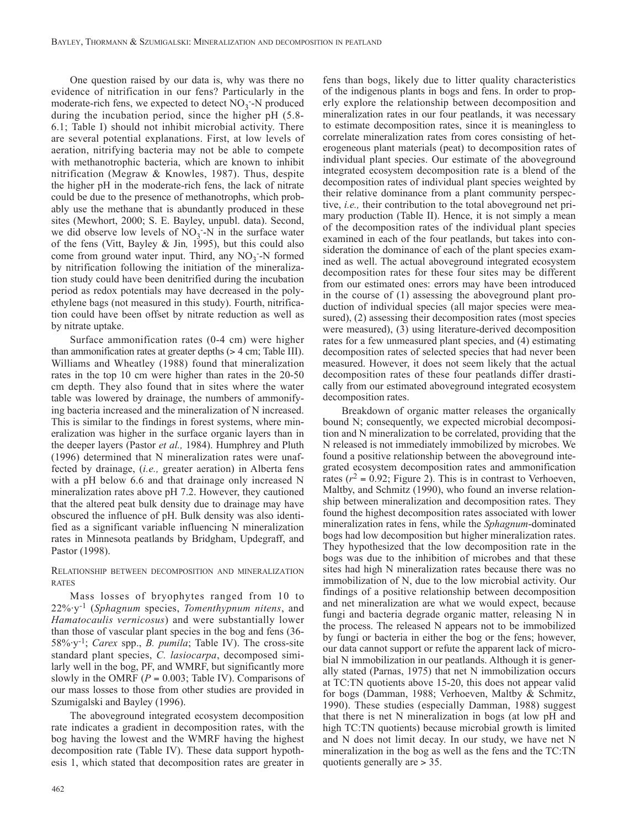One question raised by our data is, why was there no evidence of nitrification in our fens? Particularly in the moderate-rich fens, we expected to detect NO<sub>3</sub> -N produced during the incubation period, since the higher pH (5.8- 6.1; Table I) should not inhibit microbial activity. There are several potential explanations. First, at low levels of aeration, nitrifying bacteria may not be able to compete with methanotrophic bacteria, which are known to inhibit nitrification (Megraw & Knowles, 1987). Thus, despite the higher pH in the moderate-rich fens, the lack of nitrate could be due to the presence of methanotrophs, which probably use the methane that is abundantly produced in these sites (Mewhort, 2000; S. E. Bayley, unpubl. data). Second, we did observe low levels of  $NO<sub>3</sub>$ -N in the surface water of the fens (Vitt, Bayley & Jin*,* 1995), but this could also come from ground water input. Third, any  $NO_3$ -N formed by nitrification following the initiation of the mineralization study could have been denitrified during the incubation period as redox potentials may have decreased in the polyethylene bags (not measured in this study). Fourth, nitrification could have been offset by nitrate reduction as well as by nitrate uptake.

Surface ammonification rates (0-4 cm) were higher than ammonification rates at greater depths (> 4 cm; Table III). Williams and Wheatley (1988) found that mineralization rates in the top 10 cm were higher than rates in the 20-50 cm depth. They also found that in sites where the water table was lowered by drainage, the numbers of ammonifying bacteria increased and the mineralization of N increased. This is similar to the findings in forest systems, where mineralization was higher in the surface organic layers than in the deeper layers (Pastor *et al.,* 1984). Humphrey and Pluth (1996) determined that N mineralization rates were unaffected by drainage, (*i.e.,* greater aeration) in Alberta fens with a pH below 6.6 and that drainage only increased N mineralization rates above pH 7.2. However, they cautioned that the altered peat bulk density due to drainage may have obscured the influence of pH. Bulk density was also identified as a significant variable influencing N mineralization rates in Minnesota peatlands by Bridgham, Updegraff, and Pastor (1998).

Relationship between decomposition and mineralization **RATES** 

Mass losses of bryophytes ranged from 10 to 22%·y-1 (*Sphagnum* species, *Tomenthypnum nitens*, and *Hamatocaulis vernicosus*) and were substantially lower than those of vascular plant species in the bog and fens (36- 58%·y-1; *Carex* spp., *B. pumila*; Table IV). The cross-site standard plant species, *C. lasiocarpa*, decomposed similarly well in the bog, PF, and WMRF, but significantly more slowly in the OMRF  $(P = 0.003$ ; Table IV). Comparisons of our mass losses to those from other studies are provided in Szumigalski and Bayley (1996).

The aboveground integrated ecosystem decomposition rate indicates a gradient in decomposition rates, with the bog having the lowest and the WMRF having the highest decomposition rate (Table IV). These data support hypothesis 1, which stated that decomposition rates are greater in

fens than bogs, likely due to litter quality characteristics of the indigenous plants in bogs and fens. In order to properly explore the relationship between decomposition and mineralization rates in our four peatlands, it was necessary to estimate decomposition rates, since it is meaningless to correlate mineralization rates from cores consisting of heterogeneous plant materials (peat) to decomposition rates of individual plant species. Our estimate of the aboveground integrated ecosystem decomposition rate is a blend of the decomposition rates of individual plant species weighted by their relative dominance from a plant community perspective, *i.e.,* their contribution to the total aboveground net primary production (Table II). Hence, it is not simply a mean of the decomposition rates of the individual plant species examined in each of the four peatlands, but takes into consideration the dominance of each of the plant species examined as well. The actual aboveground integrated ecosystem decomposition rates for these four sites may be different from our estimated ones: errors may have been introduced in the course of (1) assessing the aboveground plant production of individual species (all major species were measured), (2) assessing their decomposition rates (most species were measured), (3) using literature-derived decomposition rates for a few unmeasured plant species, and (4) estimating decomposition rates of selected species that had never been measured. However, it does not seem likely that the actual decomposition rates of these four peatlands differ drastically from our estimated aboveground integrated ecosystem decomposition rates.

Breakdown of organic matter releases the organically bound N; consequently, we expected microbial decomposition and N mineralization to be correlated, providing that the N released is not immediately immobilized by microbes. We found a positive relationship between the aboveground integrated ecosystem decomposition rates and ammonification rates  $(r^2 = 0.92$ ; Figure 2). This is in contrast to Verhoeven, Maltby, and Schmitz (1990), who found an inverse relationship between mineralization and decomposition rates. They found the highest decomposition rates associated with lower mineralization rates in fens, while the *Sphagnum*-dominated bogs had low decomposition but higher mineralization rates. They hypothesized that the low decomposition rate in the bogs was due to the inhibition of microbes and that these sites had high N mineralization rates because there was no immobilization of N, due to the low microbial activity. Our findings of a positive relationship between decomposition and net mineralization are what we would expect, because fungi and bacteria degrade organic matter, releasing N in the process. The released N appears not to be immobilized by fungi or bacteria in either the bog or the fens; however, our data cannot support or refute the apparent lack of microbial N immobilization in our peatlands. Although it is generally stated (Parnas, 1975) that net N immobilization occurs at TC:TN quotients above 15-20, this does not appear valid for bogs (Damman, 1988; Verhoeven, Maltby & Schmitz, 1990). These studies (especially Damman, 1988) suggest that there is net N mineralization in bogs (at low pH and high TC:TN quotients) because microbial growth is limited and N does not limit decay. In our study, we have net N mineralization in the bog as well as the fens and the TC:TN quotients generally are > 35.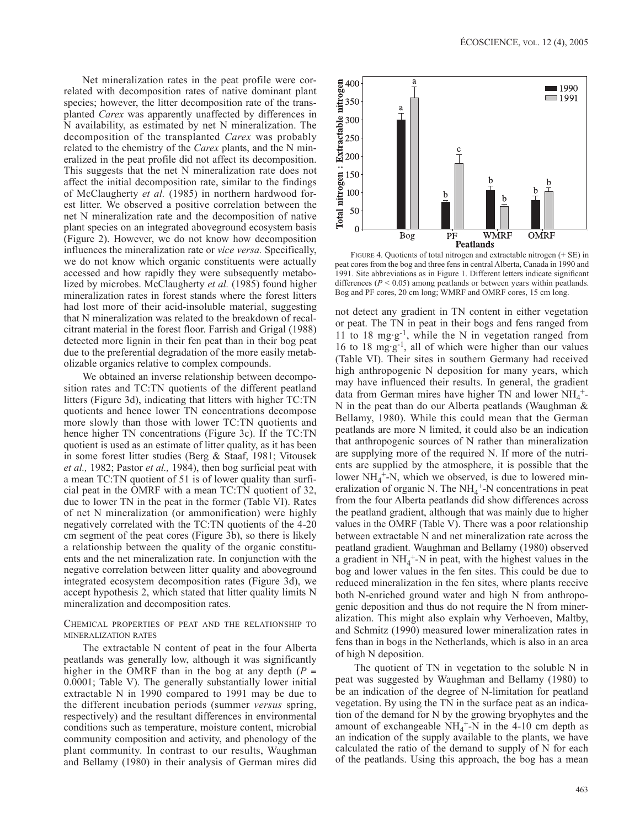Net mineralization rates in the peat profile were correlated with decomposition rates of native dominant plant species; however, the litter decomposition rate of the transplanted *Carex* was apparently unaffected by differences in N availability, as estimated by net N mineralization. The decomposition of the transplanted *Carex* was probably related to the chemistry of the *Carex* plants, and the N mineralized in the peat profile did not affect its decomposition. This suggests that the net N mineralization rate does not affect the initial decomposition rate, similar to the findings of McClaugherty *et al.* (1985) in northern hardwood forest litter. We observed a positive correlation between the net N mineralization rate and the decomposition of native plant species on an integrated aboveground ecosystem basis (Figure 2). However, we do not know how decomposition influences the mineralization rate or *vice versa.* Specifically, we do not know which organic constituents were actually accessed and how rapidly they were subsequently metabolized by microbes. McClaugherty *et al.* (1985) found higher mineralization rates in forest stands where the forest litters had lost more of their acid-insoluble material, suggesting that N mineralization was related to the breakdown of recalcitrant material in the forest floor. Farrish and Grigal (1988) detected more lignin in their fen peat than in their bog peat due to the preferential degradation of the more easily metabolizable organics relative to complex compounds.

We obtained an inverse relationship between decomposition rates and TC:TN quotients of the different peatland litters (Figure 3d), indicating that litters with higher TC:TN quotients and hence lower TN concentrations decompose more slowly than those with lower TC:TN quotients and hence higher TN concentrations (Figure 3c). If the TC:TN quotient is used as an estimate of litter quality, as it has been in some forest litter studies (Berg & Staaf, 1981; Vitousek *et al.,* 1982; Pastor *et al.,* 1984), then bog surficial peat with a mean TC:TN quotient of 51 is of lower quality than surficial peat in the OMRF with a mean TC:TN quotient of 32, due to lower TN in the peat in the former (Table VI). Rates of net N mineralization (or ammonification) were highly negatively correlated with the TC:TN quotients of the 4-20 cm segment of the peat cores (Figure 3b), so there is likely a relationship between the quality of the organic constituents and the net mineralization rate. In conjunction with the negative correlation between litter quality and aboveground integrated ecosystem decomposition rates (Figure 3d), we accept hypothesis 2, which stated that litter quality limits N mineralization and decomposition rates.

Chemical properties of peat and the relationship to mineralization rates

The extractable N content of peat in the four Alberta peatlands was generally low, although it was significantly higher in the OMRF than in the bog at any depth  $(P =$ 0.0001; Table V). The generally substantially lower initial extractable N in 1990 compared to 1991 may be due to the different incubation periods (summer *versus* spring, respectively) and the resultant differences in environmental conditions such as temperature, moisture content, microbial community composition and activity, and phenology of the plant community. In contrast to our results, Waughman and Bellamy (1980) in their analysis of German mires did



FIGURE 4. Quotients of total nitrogen and extractable nitrogen (+ SE) in peat cores from the bog and three fens in central Alberta, Canada in 1990 and 1991. Site abbreviations as in Figure 1. Different letters indicate significant differences ( $P < 0.05$ ) among peatlands or between years within peatlands. Bog and PF cores, 20 cm long; WMRF and OMRF cores, 15 cm long.

not detect any gradient in TN content in either vegetation or peat. The TN in peat in their bogs and fens ranged from 11 to 18 mg·g<sup>-1</sup>, while the N in vegetation ranged from 16 to 18 mg·g-1, all of which were higher than our values (Table VI). Their sites in southern Germany had received high anthropogenic N deposition for many years, which may have influenced their results. In general, the gradient data from German mires have higher TN and lower  $NH_4^+$ -N in the peat than do our Alberta peatlands (Waughman & Bellamy, 1980). While this could mean that the German peatlands are more N limited, it could also be an indication that anthropogenic sources of N rather than mineralization are supplying more of the required N. If more of the nutrients are supplied by the atmosphere, it is possible that the lower  $NH_4^+$ -N, which we observed, is due to lowered mineralization of organic N. The  $NH_4^+$ -N concentrations in peat from the four Alberta peatlands did show differences across the peatland gradient, although that was mainly due to higher values in the OMRF (Table V). There was a poor relationship between extractable N and net mineralization rate across the peatland gradient. Waughman and Bellamy (1980) observed a gradient in  $NH_4^+$ -N in peat, with the highest values in the bog and lower values in the fen sites. This could be due to reduced mineralization in the fen sites, where plants receive both N-enriched ground water and high N from anthropogenic deposition and thus do not require the N from mineralization. This might also explain why Verhoeven, Maltby, and Schmitz (1990) measured lower mineralization rates in fens than in bogs in the Netherlands, which is also in an area of high N deposition.

The quotient of TN in vegetation to the soluble N in peat was suggested by Waughman and Bellamy (1980) to be an indication of the degree of N-limitation for peatland vegetation. By using the TN in the surface peat as an indication of the demand for N by the growing bryophytes and the amount of exchangeable  $NH_4^+$ -N in the 4-10 cm depth as an indication of the supply available to the plants, we have calculated the ratio of the demand to supply of N for each of the peatlands. Using this approach, the bog has a mean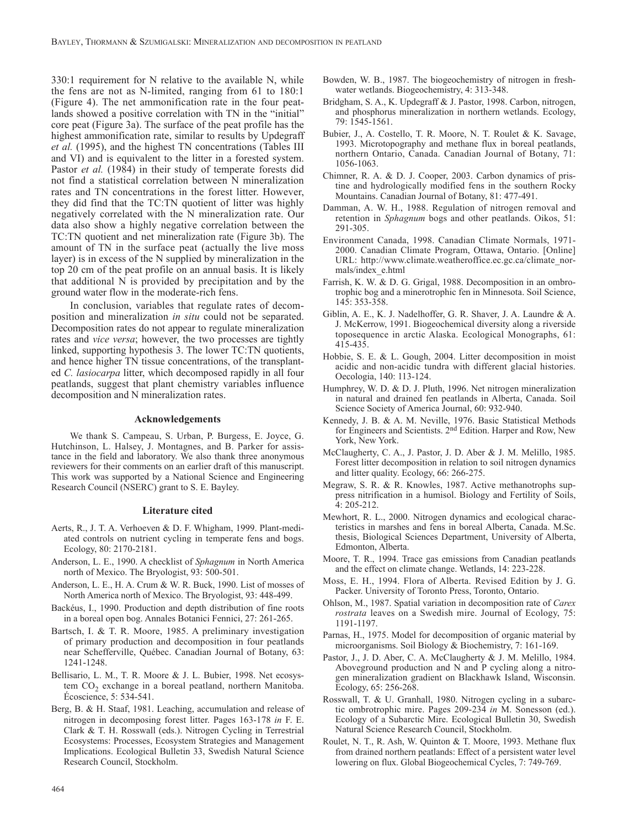330:1 requirement for N relative to the available N, while the fens are not as N-limited, ranging from 61 to 180:1 (Figure 4). The net ammonification rate in the four peatlands showed a positive correlation with TN in the "initial" core peat (Figure 3a). The surface of the peat profile has the highest ammonification rate, similar to results by Updegraff *et al.* (1995), and the highest TN concentrations (Tables III and VI) and is equivalent to the litter in a forested system. Pastor *et al.* (1984) in their study of temperate forests did not find a statistical correlation between N mineralization rates and TN concentrations in the forest litter. However, they did find that the TC:TN quotient of litter was highly negatively correlated with the N mineralization rate. Our data also show a highly negative correlation between the TC:TN quotient and net mineralization rate (Figure 3b). The amount of TN in the surface peat (actually the live moss layer) is in excess of the N supplied by mineralization in the top 20 cm of the peat profile on an annual basis. It is likely that additional N is provided by precipitation and by the ground water flow in the moderate-rich fens.

In conclusion, variables that regulate rates of decomposition and mineralization *in situ* could not be separated. Decomposition rates do not appear to regulate mineralization rates and *vice versa*; however, the two processes are tightly linked, supporting hypothesis 3. The lower TC:TN quotients, and hence higher TN tissue concentrations, of the transplanted *C. lasiocarpa* litter, which decomposed rapidly in all four peatlands, suggest that plant chemistry variables influence decomposition and N mineralization rates.

#### **Acknowledgements**

We thank S. Campeau, S. Urban, P. Burgess, E. Joyce, G. Hutchinson, L. Halsey, J. Montagnes, and B. Parker for assistance in the field and laboratory. We also thank three anonymous reviewers for their comments on an earlier draft of this manuscript. This work was supported by a National Science and Engineering Research Council (NSERC) grant to S. E. Bayley.

#### **Literature cited**

- Aerts, R., J. T. A. Verhoeven & D. F. Whigham, 1999. Plant-mediated controls on nutrient cycling in temperate fens and bogs. Ecology, 80: 2170-2181.
- Anderson, L. E., 1990. A checklist of *Sphagnum* in North America north of Mexico. The Bryologist, 93: 500-501.
- Anderson, L. E., H. A. Crum & W. R. Buck, 1990. List of mosses of North America north of Mexico. The Bryologist, 93: 448-499.
- Backéus, I., 1990. Production and depth distribution of fine roots in a boreal open bog. Annales Botanici Fennici, 27: 261-265.
- Bartsch, I. & T. R. Moore, 1985. A preliminary investigation of primary production and decomposition in four peatlands near Schefferville, Québec. Canadian Journal of Botany, 63: 1241-1248.
- Bellisario, L. M., T. R. Moore & J. L. Bubier, 1998. Net ecosystem CO<sub>2</sub> exchange in a boreal peatland, northern Manitoba. Écoscience, 5: 534-541.
- Berg, B. & H. Staaf, 1981. Leaching, accumulation and release of nitrogen in decomposing forest litter. Pages 163-178 *in* F. E. Clark & T. H. Rosswall (eds.). Nitrogen Cycling in Terrestrial Ecosystems: Processes, Ecosystem Strategies and Management Implications. Ecological Bulletin 33, Swedish Natural Science Research Council, Stockholm.
- Bowden, W. B., 1987. The biogeochemistry of nitrogen in freshwater wetlands. Biogeochemistry, 4: 313-348.
- Bridgham, S. A., K. Updegraff & J. Pastor, 1998. Carbon, nitrogen, and phosphorus mineralization in northern wetlands. Ecology, 79: 1545-1561.
- Bubier, J., A. Costello, T. R. Moore, N. T. Roulet & K. Savage, 1993. Microtopography and methane flux in boreal peatlands, northern Ontario, Canada. Canadian Journal of Botany, 71: 1056-1063.
- Chimner, R. A. & D. J. Cooper, 2003. Carbon dynamics of pristine and hydrologically modified fens in the southern Rocky Mountains. Canadian Journal of Botany, 81: 477-491.
- Damman, A. W. H., 1988. Regulation of nitrogen removal and retention in *Sphagnum* bogs and other peatlands. Oikos, 51: 291-305.
- Environment Canada, 1998. Canadian Climate Normals, 1971- 2000. Canadian Climate Program, Ottawa, Ontario. [Online] URL: http://www.climate.weatheroffice.ec.gc.ca/climate\_normals/index\_e.html
- Farrish, K. W. & D. G. Grigal, 1988. Decomposition in an ombrotrophic bog and a minerotrophic fen in Minnesota. Soil Science, 145: 353-358.
- Giblin, A. E., K. J. Nadelhoffer, G. R. Shaver, J. A. Laundre & A. J. McKerrow, 1991. Biogeochemical diversity along a riverside toposequence in arctic Alaska. Ecological Monographs, 61: 415-435.
- Hobbie, S. E. & L. Gough, 2004. Litter decomposition in moist acidic and non-acidic tundra with different glacial histories. Oecologia, 140: 113-124.
- Humphrey, W. D. & D. J. Pluth, 1996. Net nitrogen mineralization in natural and drained fen peatlands in Alberta, Canada. Soil Science Society of America Journal, 60: 932-940.
- Kennedy, J. B. & A. M. Neville, 1976. Basic Statistical Methods for Engineers and Scientists. 2nd Edition. Harper and Row, New York, New York.
- McClaugherty, C. A., J. Pastor, J. D. Aber & J. M. Melillo, 1985. Forest litter decomposition in relation to soil nitrogen dynamics and litter quality. Ecology, 66: 266-275.
- Megraw, S. R. & R. Knowles, 1987. Active methanotrophs suppress nitrification in a humisol. Biology and Fertility of Soils, 4: 205-212.
- Mewhort, R. L., 2000. Nitrogen dynamics and ecological characteristics in marshes and fens in boreal Alberta, Canada. M.Sc. thesis, Biological Sciences Department, University of Alberta, Edmonton, Alberta.
- Moore, T. R., 1994. Trace gas emissions from Canadian peatlands and the effect on climate change. Wetlands, 14: 223-228.
- Moss, E. H., 1994. Flora of Alberta. Revised Edition by J. G. Packer. University of Toronto Press, Toronto, Ontario.
- Ohlson, M., 1987. Spatial variation in decomposition rate of *Carex rostrata* leaves on a Swedish mire. Journal of Ecology, 75: 1191-1197.
- Parnas, H., 1975. Model for decomposition of organic material by microorganisms. Soil Biology & Biochemistry, 7: 161-169.
- Pastor, J., J. D. Aber, C. A. McClaugherty & J. M. Melillo, 1984. Aboveground production and N and P cycling along a nitrogen mineralization gradient on Blackhawk Island, Wisconsin. Ecology, 65: 256-268.
- Rosswall, T. & U. Granhall, 1980. Nitrogen cycling in a subarctic ombrotrophic mire. Pages 209-234 *in* M. Sonesson (ed.). Ecology of a Subarctic Mire. Ecological Bulletin 30, Swedish Natural Science Research Council, Stockholm.
- Roulet, N. T., R. Ash, W. Quinton & T. Moore, 1993. Methane flux from drained northern peatlands: Effect of a persistent water level lowering on flux. Global Biogeochemical Cycles, 7: 749-769.